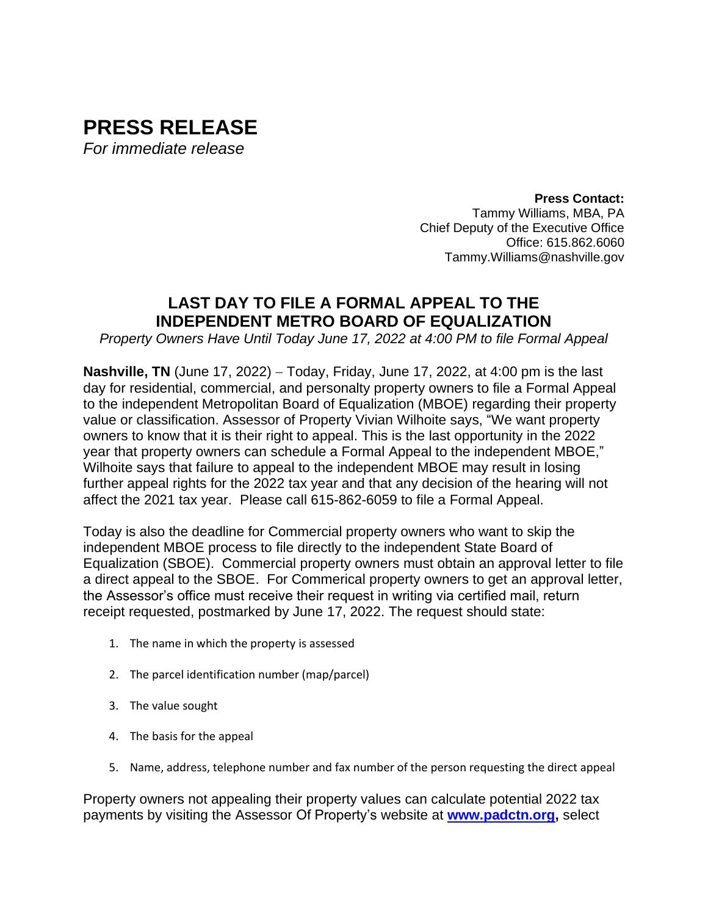# **PRESS RELEASE** *For immediate release*

**Press Contact:** Tammy Williams, MBA, PA Chief Deputy of the Executive Office Office: 615.862.6060 Tammy.Williams@nashville.gov

## **LAST DAY TO FILE A FORMAL APPEAL TO THE INDEPENDENT METRO BOARD OF EQUALIZATION**

*Property Owners Have Until Today June 17, 2022 at 4:00 PM to file Formal Appeal*

**Nashville, TN** (June 17, 2022) – Today, Friday, June 17, 2022, at 4:00 pm is the last day for residential, commercial, and personalty property owners to file a Formal Appeal to the independent Metropolitan Board of Equalization (MBOE) regarding their property value or classification. Assessor of Property Vivian Wilhoite says, "We want property owners to know that it is their right to appeal. This is the last opportunity in the 2022 year that property owners can schedule a Formal Appeal to the independent MBOE," Wilhoite says that failure to appeal to the independent MBOE may result in losing further appeal rights for the 2022 tax year and that any decision of the hearing will not affect the 2021 tax year. Please call 615-862-6059 to file a Formal Appeal.

Today is also the deadline for Commercial property owners who want to skip the independent MBOE process to file directly to the independent State Board of Equalization (SBOE). Commercial property owners must obtain an approval letter to file a direct appeal to the SBOE. For Commerical property owners to get an approval letter, the Assessor's office must receive their request in writing via certified mail, return receipt requested, postmarked by June 17, 2022. The request should state:

- 1. The name in which the property is assessed
- 2. The parcel identification number (map/parcel)
- 3. The value sought
- 4. The basis for the appeal
- 5. Name, address, telephone number and fax number of the person requesting the direct appeal

Property owners not appealing their property values can calculate potential 2022 tax payments by visiting the Assessor Of Property's website at **[www.padctn.org,](http://www.padctn.org/)** select